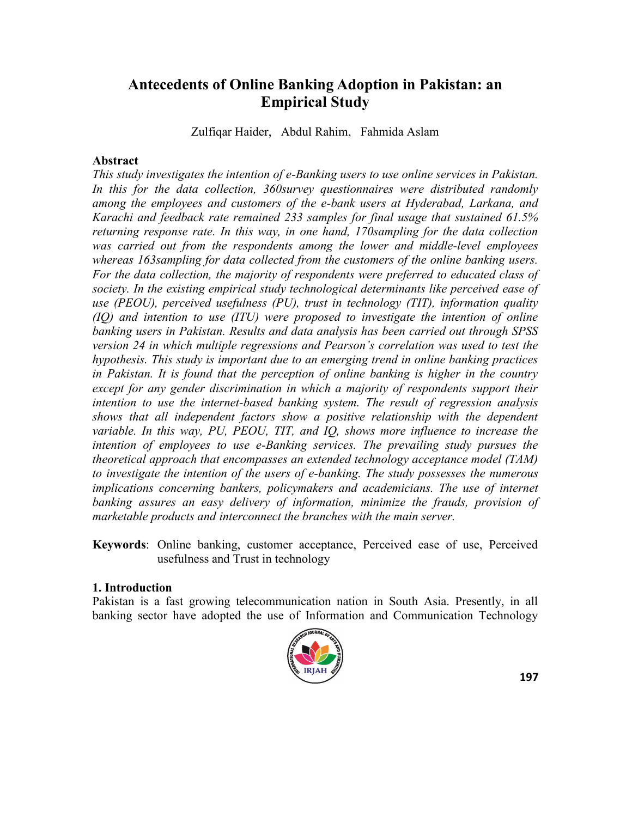# **Antecedents of Online Banking Adoption in Pakistan: an Empirical Study**

Zulfiqar Haider, Abdul Rahim, Fahmida Aslam

### **Abstract**

*This study investigates the intention of e-Banking users to use online services in Pakistan. In this for the data collection, 360survey questionnaires were distributed randomly among the employees and customers of the e-bank users at Hyderabad, Larkana, and Karachi and feedback rate remained 233 samples for final usage that sustained 61.5% returning response rate. In this way, in one hand, 170sampling for the data collection was carried out from the respondents among the lower and middle-level employees whereas 163sampling for data collected from the customers of the online banking users. For the data collection, the majority of respondents were preferred to educated class of society. In the existing empirical study technological determinants like perceived ease of use (PEOU), perceived usefulness (PU), trust in technology (TIT), information quality (IQ) and intention to use (ITU) were proposed to investigate the intention of online banking users in Pakistan. Results and data analysis has been carried out through SPSS version 24 in which multiple regressions and Pearson's correlation was used to test the hypothesis. This study is important due to an emerging trend in online banking practices in Pakistan. It is found that the perception of online banking is higher in the country except for any gender discrimination in which a majority of respondents support their intention to use the internet-based banking system. The result of regression analysis shows that all independent factors show a positive relationship with the dependent variable. In this way, PU, PEOU, TIT, and IQ, shows more influence to increase the intention of employees to use e-Banking services. The prevailing study pursues the theoretical approach that encompasses an extended technology acceptance model (TAM) to investigate the intention of the users of e-banking. The study possesses the numerous implications concerning bankers, policymakers and academicians. The use of internet* banking assures an easy delivery of information, minimize the frauds, provision of *marketable products and interconnect the branches with the main server.*

**Keywords**: Online banking, customer acceptance, Perceived ease of use, Perceived usefulness and Trust in technology

### **1. Introduction**

Pakistan is a fast growing telecommunication nation in South Asia. Presently, in all banking sector have adopted the use of Information and Communication Technology

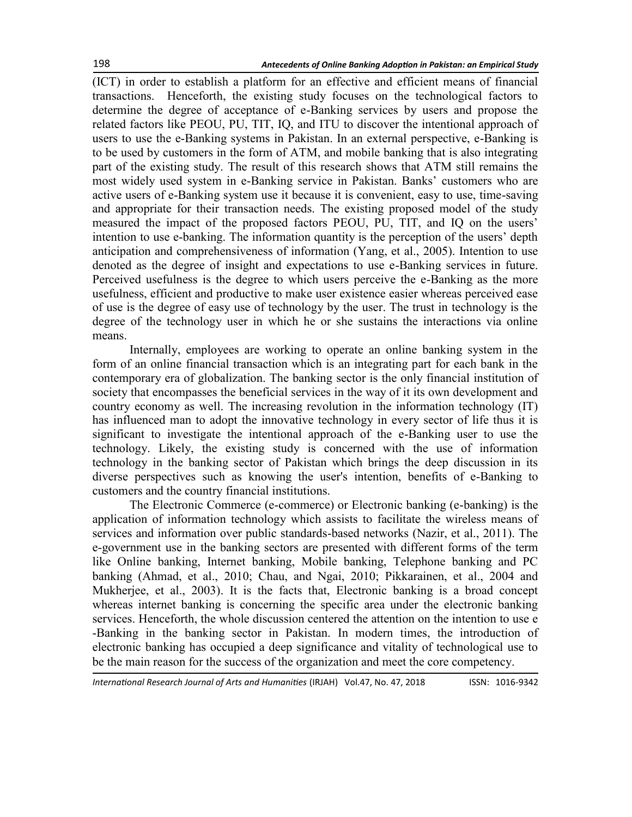(ICT) in order to establish a platform for an effective and efficient means of financial transactions. Henceforth, the existing study focuses on the technological factors to determine the degree of acceptance of e-Banking services by users and propose the related factors like PEOU, PU, TIT, IQ, and ITU to discover the intentional approach of users to use the e-Banking systems in Pakistan. In an external perspective, e-Banking is to be used by customers in the form of ATM, and mobile banking that is also integrating part of the existing study. The result of this research shows that ATM still remains the most widely used system in e-Banking service in Pakistan. Banks' customers who are active users of e-Banking system use it because it is convenient, easy to use, time-saving and appropriate for their transaction needs. The existing proposed model of the study measured the impact of the proposed factors PEOU, PU, TIT, and IQ on the users' intention to use e-banking. The information quantity is the perception of the users' depth anticipation and comprehensiveness of information (Yang, et al., 2005). Intention to use denoted as the degree of insight and expectations to use e-Banking services in future. Perceived usefulness is the degree to which users perceive the e-Banking as the more usefulness, efficient and productive to make user existence easier whereas perceived ease of use is the degree of easy use of technology by the user. The trust in technology is the degree of the technology user in which he or she sustains the interactions via online means.

Internally, employees are working to operate an online banking system in the form of an online financial transaction which is an integrating part for each bank in the contemporary era of globalization. The banking sector is the only financial institution of society that encompasses the beneficial services in the way of it its own development and country economy as well. The increasing revolution in the information technology (IT) has influenced man to adopt the innovative technology in every sector of life thus it is significant to investigate the intentional approach of the e-Banking user to use the technology. Likely, the existing study is concerned with the use of information technology in the banking sector of Pakistan which brings the deep discussion in its diverse perspectives such as knowing the user's intention, benefits of e-Banking to customers and the country financial institutions.

The Electronic Commerce (e-commerce) or Electronic banking (e-banking) is the application of information technology which assists to facilitate the wireless means of services and information over public standards-based networks (Nazir, et al., 2011). The e-government use in the banking sectors are presented with different forms of the term like Online banking, Internet banking, Mobile banking, Telephone banking and PC banking (Ahmad, et al., 2010; Chau, and Ngai, 2010; Pikkarainen, et al., 2004 and Mukherjee, et al., 2003). It is the facts that, Electronic banking is a broad concept whereas internet banking is concerning the specific area under the electronic banking services. Henceforth, the whole discussion centered the attention on the intention to use e -Banking in the banking sector in Pakistan. In modern times, the introduction of electronic banking has occupied a deep significance and vitality of technological use to be the main reason for the success of the organization and meet the core competency.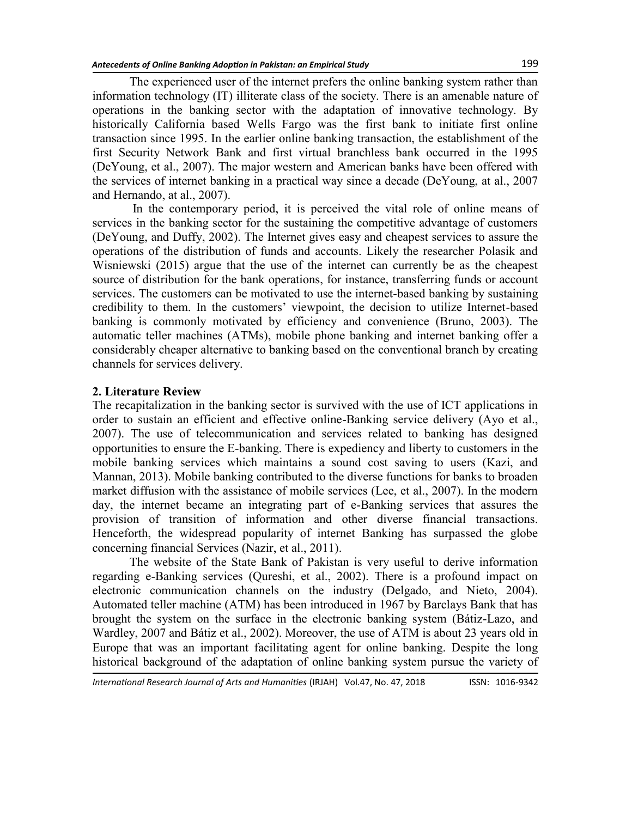The experienced user of the internet prefers the online banking system rather than information technology (IT) illiterate class of the society. There is an amenable nature of operations in the banking sector with the adaptation of innovative technology. By historically California based Wells Fargo was the first bank to initiate first online transaction since 1995. In the earlier online banking transaction, the establishment of the first Security Network Bank and first virtual branchless bank occurred in the 1995 (DeYoung, et al., 2007). The major western and American banks have been offered with the services of internet banking in a practical way since a decade (DeYoung, at al., 2007 and Hernando, at al., 2007).

In the contemporary period, it is perceived the vital role of online means of services in the banking sector for the sustaining the competitive advantage of customers (DeYoung, and Duffy, 2002). The Internet gives easy and cheapest services to assure the operations of the distribution of funds and accounts. Likely the researcher Polasik and Wisniewski (2015) argue that the use of the internet can currently be as the cheapest source of distribution for the bank operations, for instance, transferring funds or account services. The customers can be motivated to use the internet-based banking by sustaining credibility to them. In the customers' viewpoint, the decision to utilize Internet-based banking is commonly motivated by efficiency and convenience (Bruno, 2003). The automatic teller machines (ATMs), mobile phone banking and internet banking offer a considerably cheaper alternative to banking based on the conventional branch by creating channels for services delivery.

### **2. Literature Review**

The recapitalization in the banking sector is survived with the use of ICT applications in order to sustain an efficient and effective online-Banking service delivery (Ayo et al., 2007). The use of telecommunication and services related to banking has designed opportunities to ensure the E-banking. There is expediency and liberty to customers in the mobile banking services which maintains a sound cost saving to users (Kazi, and Mannan, 2013). Mobile banking contributed to the diverse functions for banks to broaden market diffusion with the assistance of mobile services (Lee, et al., 2007). In the modern day, the internet became an integrating part of e-Banking services that assures the provision of transition of information and other diverse financial transactions. Henceforth, the widespread popularity of internet Banking has surpassed the globe concerning financial Services (Nazir, et al., 2011).

The website of the State Bank of Pakistan is very useful to derive information regarding e-Banking services (Qureshi, et al., 2002). There is a profound impact on electronic communication channels on the industry (Delgado, and Nieto, 2004). Automated teller machine (ATM) has been introduced in 1967 by Barclays Bank that has brought the system on the surface in the electronic banking system (Bátiz-Lazo, and Wardley, 2007 and Bátiz et al., 2002). Moreover, the use of ATM is about 23 years old in Europe that was an important facilitating agent for online banking. Despite the long historical background of the adaptation of online banking system pursue the variety of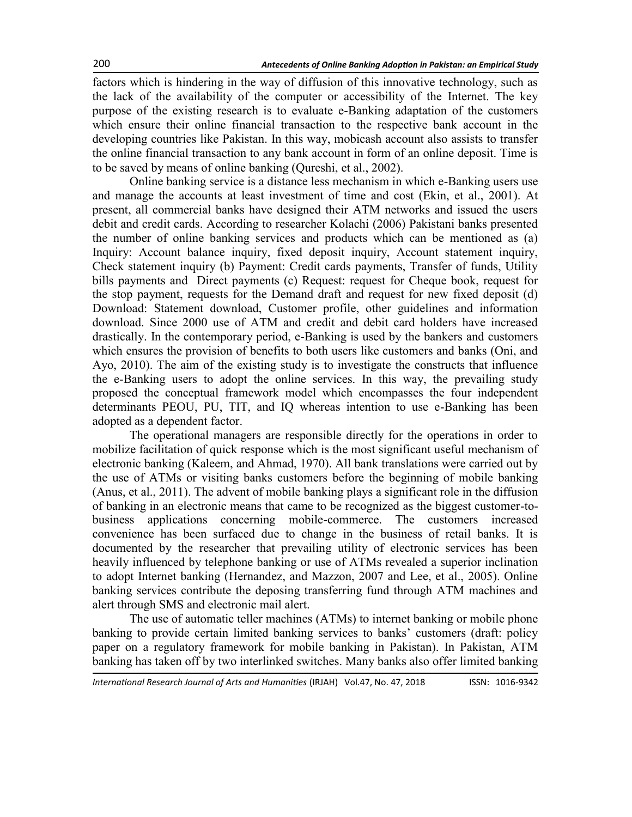factors which is hindering in the way of diffusion of this innovative technology, such as the lack of the availability of the computer or accessibility of the Internet. The key purpose of the existing research is to evaluate e-Banking adaptation of the customers which ensure their online financial transaction to the respective bank account in the developing countries like Pakistan. In this way, mobicash account also assists to transfer the online financial transaction to any bank account in form of an online deposit. Time is to be saved by means of online banking (Qureshi, et al., 2002).

Online banking service is a distance less mechanism in which e-Banking users use and manage the accounts at least investment of time and cost (Ekin, et al., 2001). At present, all commercial banks have designed their ATM networks and issued the users debit and credit cards. According to researcher Kolachi (2006) Pakistani banks presented the number of online banking services and products which can be mentioned as (a) Inquiry: Account balance inquiry, fixed deposit inquiry, Account statement inquiry, Check statement inquiry (b) Payment: Credit cards payments, Transfer of funds, Utility bills payments and Direct payments (c) Request: request for Cheque book, request for the stop payment, requests for the Demand draft and request for new fixed deposit (d) Download: Statement download, Customer profile, other guidelines and information download. Since 2000 use of ATM and credit and debit card holders have increased drastically. In the contemporary period, e-Banking is used by the bankers and customers which ensures the provision of benefits to both users like customers and banks (Oni, and Ayo, 2010). The aim of the existing study is to investigate the constructs that influence the e-Banking users to adopt the online services. In this way, the prevailing study proposed the conceptual framework model which encompasses the four independent determinants PEOU, PU, TIT, and IQ whereas intention to use e-Banking has been adopted as a dependent factor.

The operational managers are responsible directly for the operations in order to mobilize facilitation of quick response which is the most significant useful mechanism of electronic banking (Kaleem, and Ahmad, 1970). All bank translations were carried out by the use of ATMs or visiting banks customers before the beginning of mobile banking (Anus, et al., 2011). The advent of mobile banking plays a significant role in the diffusion of banking in an electronic means that came to be recognized as the biggest customer-tobusiness applications concerning mobile-commerce. The customers increased convenience has been surfaced due to change in the business of retail banks. It is documented by the researcher that prevailing utility of electronic services has been heavily influenced by telephone banking or use of ATMs revealed a superior inclination to adopt Internet banking (Hernandez, and Mazzon, 2007 and Lee, et al., 2005). Online banking services contribute the deposing transferring fund through ATM machines and alert through SMS and electronic mail alert.

The use of automatic teller machines (ATMs) to internet banking or mobile phone banking to provide certain limited banking services to banks' customers (draft: policy paper on a regulatory framework for mobile banking in Pakistan). In Pakistan, ATM banking has taken off by two interlinked switches. Many banks also offer limited banking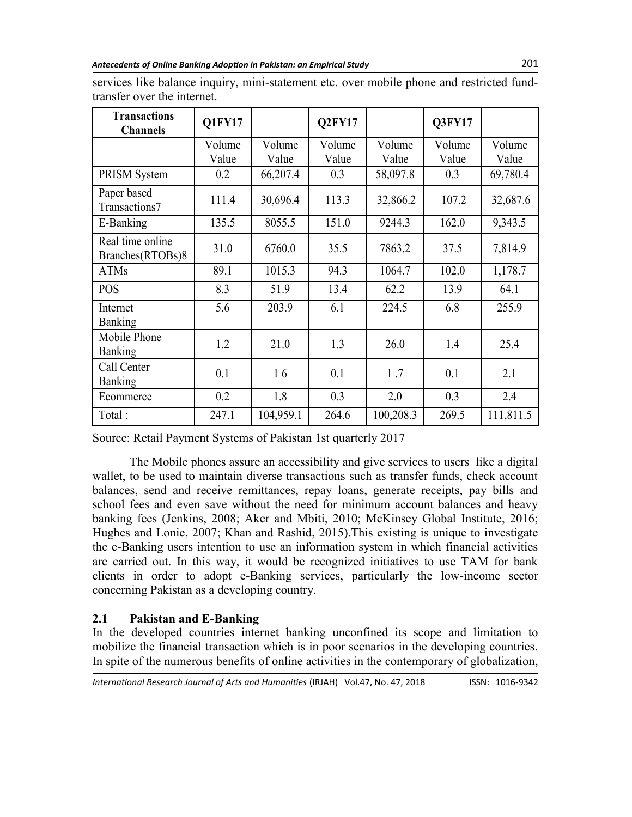| <b>Transactions</b><br><b>Channels</b> | Q1FY17          |                 | Q2FY17          |                   | Q3FY17           |                 |
|----------------------------------------|-----------------|-----------------|-----------------|-------------------|------------------|-----------------|
|                                        | Volume<br>Value | Volume<br>Value | Volume<br>Value | Volume<br>Value   | Volume<br>Value  | Volume<br>Value |
| PRISM System                           | 0.2             | 66,207.4        | 0.3             | 58,097.8          | 0.3              | 69,780.4        |
| Paper based<br>Transactions7           | 111.4           | 30,696.4        | 113.3           | 107.2<br>32,866.2 |                  | 32,687.6        |
| E-Banking                              | 135.5           | 8055.5          | 151.0           | 9244.3            | 9,343.5<br>162.0 |                 |
| Real time online<br>Branches(RTOBs)8   | 31.0            | 6760.0          | 35.5            | 7863.2            | 37.5<br>7,814.9  |                 |
| <b>ATMs</b>                            | 89.1            | 1015.3          | 94.3            | 1064.7            | 102.0            | 1,178.7         |
| <b>POS</b>                             | 8.3             | 51.9            | 13.4            | 62.2<br>13.9      |                  | 64.1            |
| Internet<br><b>Banking</b>             | 5.6             | 203.9           | 6.1             | 224.5             | 6.8              | 255.9           |
| Mobile Phone<br>Banking                | 1.2             | 21.0            | 1.3             | 26.0              | 1.4              | 25.4            |
| Call Center<br><b>Banking</b>          | 0.1             | 16              | 0.1             | 1.7               | 0.1              | 2.1             |
| Ecommerce                              | 0.2             | 1.8             | 0.3             | 2.0               | 0.3              | 2.4             |
| Total:                                 | 247.1           | 104,959.1       | 264.6           | 100,208.3         | 269.5            | 111,811.5       |

services like balance inquiry, mini-statement etc. over mobile phone and restricted fundtransfer over the internet.

Source: Retail Payment Systems of Pakistan 1st quarterly 2017

The Mobile phones assure an accessibility and give services to users like a digital wallet, to be used to maintain diverse transactions such as transfer funds, check account balances, send and receive remittances, repay loans, generate receipts, pay bills and school fees and even save without the need for minimum account balances and heavy banking fees (Jenkins, 2008; Aker and Mbiti, 2010; McKinsey Global Institute, 2016; Hughes and Lonie, 2007; Khan and Rashid, 2015).This existing is unique to investigate the e-Banking users intention to use an information system in which financial activities are carried out. In this way, it would be recognized initiatives to use TAM for bank clients in order to adopt e-Banking services, particularly the low-income sector concerning Pakistan as a developing country.

# **2.1 Pakistan and E-Banking**

In the developed countries internet banking unconfined its scope and limitation to mobilize the financial transaction which is in poor scenarios in the developing countries. In spite of the numerous benefits of online activities in the contemporary of globalization,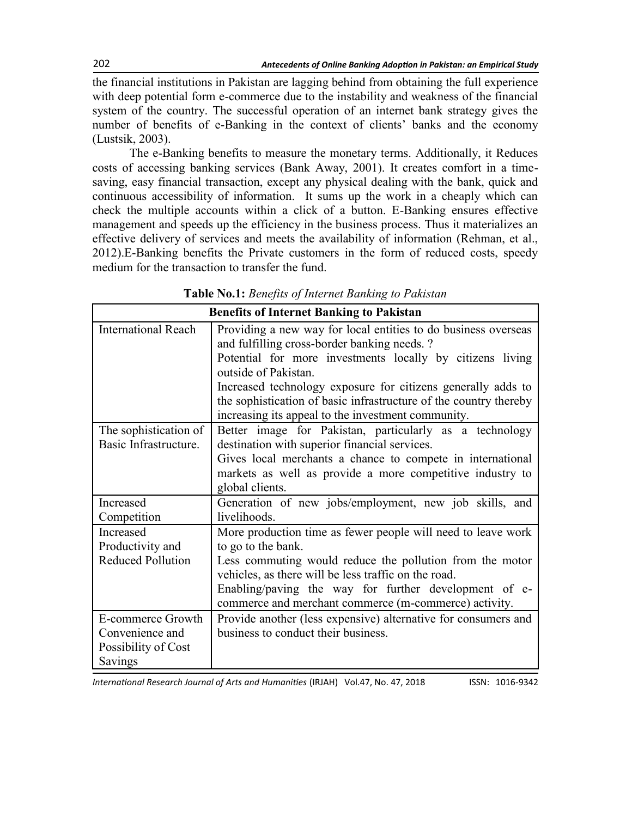the financial institutions in Pakistan are lagging behind from obtaining the full experience with deep potential form e-commerce due to the instability and weakness of the financial system of the country. The successful operation of an internet bank strategy gives the number of benefits of e-Banking in the context of clients' banks and the economy (Lustsik, 2003).

The e-Banking benefits to measure the monetary terms. Additionally, it Reduces costs of accessing banking services (Bank Away, 2001). It creates comfort in a timesaving, easy financial transaction, except any physical dealing with the bank, quick and continuous accessibility of information. It sums up the work in a cheaply which can check the multiple accounts within a click of a button. E-Banking ensures effective management and speeds up the efficiency in the business process. Thus it materializes an effective delivery of services and meets the availability of information (Rehman, et al., 2012).E-Banking benefits the Private customers in the form of reduced costs, speedy medium for the transaction to transfer the fund.

|                                                                        | <b>Benefits of Internet Banking to Pakistan</b>                                                                                                                                                                                                                                                                                                                                                |
|------------------------------------------------------------------------|------------------------------------------------------------------------------------------------------------------------------------------------------------------------------------------------------------------------------------------------------------------------------------------------------------------------------------------------------------------------------------------------|
| <b>International Reach</b>                                             | Providing a new way for local entities to do business overseas<br>and fulfilling cross-border banking needs. ?<br>Potential for more investments locally by citizens living<br>outside of Pakistan.<br>Increased technology exposure for citizens generally adds to<br>the sophistication of basic infrastructure of the country thereby<br>increasing its appeal to the investment community. |
| The sophistication of<br>Basic Infrastructure.                         | Better image for Pakistan, particularly as a technology<br>destination with superior financial services.<br>Gives local merchants a chance to compete in international<br>markets as well as provide a more competitive industry to<br>global clients.                                                                                                                                         |
| Increased<br>Competition                                               | Generation of new jobs/employment, new job skills, and<br>livelihoods.                                                                                                                                                                                                                                                                                                                         |
| Increased<br>Productivity and<br><b>Reduced Pollution</b>              | More production time as fewer people will need to leave work<br>to go to the bank.<br>Less commuting would reduce the pollution from the motor<br>vehicles, as there will be less traffic on the road.<br>Enabling/paving the way for further development of e-<br>commerce and merchant commerce (m-commerce) activity.                                                                       |
| E-commerce Growth<br>Convenience and<br>Possibility of Cost<br>Savings | Provide another (less expensive) alternative for consumers and<br>business to conduct their business.                                                                                                                                                                                                                                                                                          |

**Table No.1:** *Benefits of Internet Banking to Pakistan*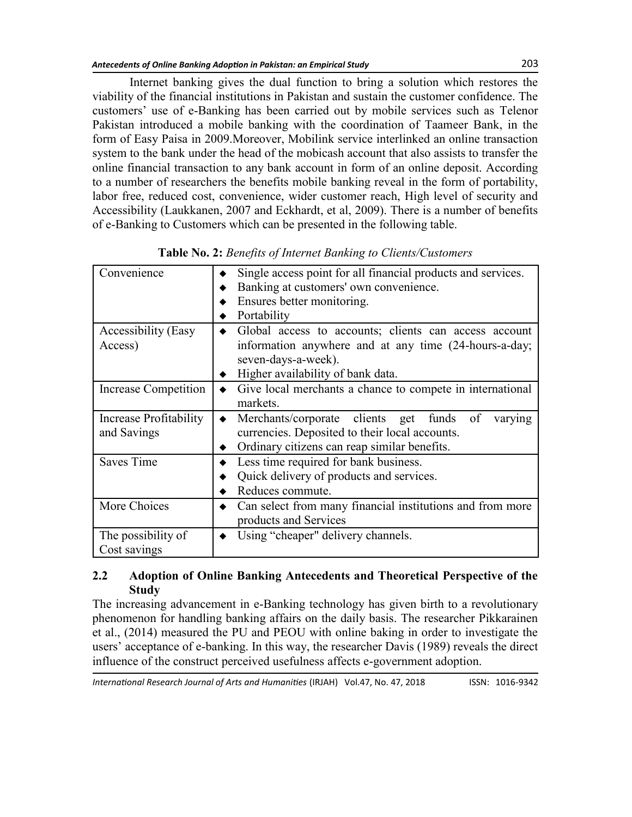Internet banking gives the dual function to bring a solution which restores the viability of the financial institutions in Pakistan and sustain the customer confidence. The customers' use of e-Banking has been carried out by mobile services such as [Telenor](https://en.wikipedia.org/wiki/Telenor_Pakistan)  [Pakistan](https://en.wikipedia.org/wiki/Telenor_Pakistan) introduced a mobile banking with the coordination of Taameer Bank, in the form of Easy Paisa in 2009.Moreover, Mobilink service interlinked an online transaction system to the bank under the head of the mobicash account that also assists to transfer the online financial transaction to any bank account in form of an online deposit. According to a number of researchers the benefits mobile banking reveal in the form of portability, labor free, reduced cost, convenience, wider customer reach, High level of security and Accessibility (Laukkanen, 2007 and Eckhardt, et al, 2009). There is a number of benefits of e-Banking to Customers which can be presented in the following table.

| Convenience            | Single access point for all financial products and services. |  |  |  |  |
|------------------------|--------------------------------------------------------------|--|--|--|--|
|                        | Banking at customers' own convenience.                       |  |  |  |  |
|                        | Ensures better monitoring.                                   |  |  |  |  |
|                        | Portability                                                  |  |  |  |  |
| Accessibility (Easy    | Global access to accounts; clients can access account        |  |  |  |  |
| Access)                | information anywhere and at any time (24-hours-a-day;        |  |  |  |  |
|                        | seven-days-a-week).                                          |  |  |  |  |
|                        | Higher availability of bank data.                            |  |  |  |  |
| Increase Competition   | Give local merchants a chance to compete in international    |  |  |  |  |
|                        | markets.                                                     |  |  |  |  |
| Increase Profitability | Merchants/corporate clients get funds<br>of<br>varying       |  |  |  |  |
| and Savings            | currencies. Deposited to their local accounts.               |  |  |  |  |
|                        | Ordinary citizens can reap similar benefits.                 |  |  |  |  |
| <b>Saves Time</b>      | Less time required for bank business.                        |  |  |  |  |
|                        | Quick delivery of products and services.                     |  |  |  |  |
|                        | Reduces commute.                                             |  |  |  |  |
| More Choices           | Can select from many financial institutions and from more    |  |  |  |  |
|                        | products and Services                                        |  |  |  |  |
| The possibility of     | Using "cheaper" delivery channels.                           |  |  |  |  |
| Cost savings           |                                                              |  |  |  |  |

**Table No. 2:** *Benefits of Internet Banking to Clients/Customers*

## **2.2 Adoption of Online Banking Antecedents and Theoretical Perspective of the Study**

The increasing advancement in e-Banking technology has given birth to a revolutionary phenomenon for handling banking affairs on the daily basis. The researcher Pikkarainen et al., (2014) measured the PU and PEOU with online baking in order to investigate the users' acceptance of e-banking. In this way, the researcher Davis (1989) reveals the direct influence of the construct perceived usefulness affects e-government adoption.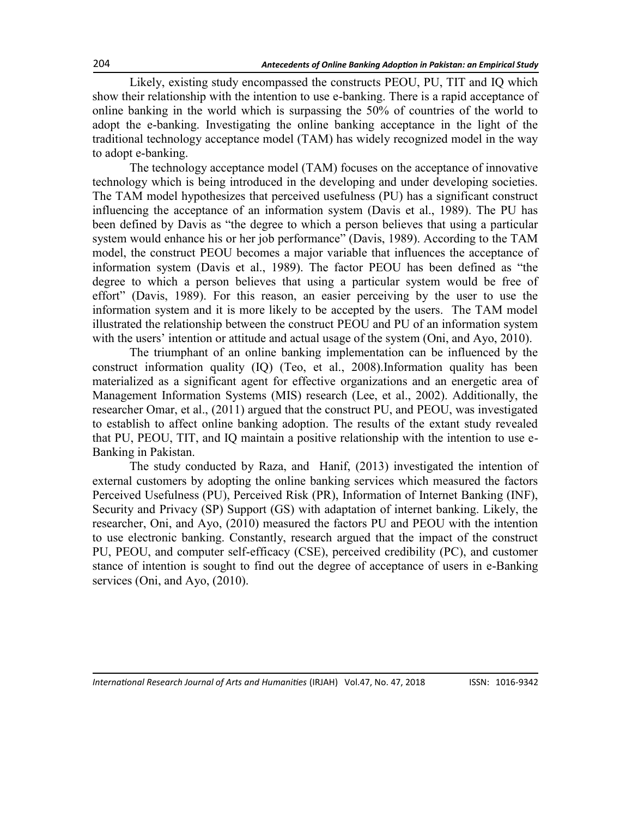Likely, existing study encompassed the constructs PEOU, PU, TIT and IQ which show their relationship with the intention to use e-banking. There is a rapid acceptance of online banking in the world which is surpassing the 50% of countries of the world to adopt the e-banking. Investigating the online banking acceptance in the light of the traditional technology acceptance model (TAM) has widely recognized model in the way to adopt e-banking.

The technology acceptance model (TAM) focuses on the acceptance of innovative technology which is being introduced in the developing and under developing societies. The TAM model hypothesizes that perceived usefulness (PU) has a significant construct influencing the acceptance of an information system (Davis et al., 1989). The PU has been defined by Davis as "the degree to which a person believes that using a particular system would enhance his or her job performance" (Davis, 1989). According to the TAM model, the construct PEOU becomes a major variable that influences the acceptance of information system (Davis et al., 1989). The factor PEOU has been defined as "the degree to which a person believes that using a particular system would be free of effort" (Davis, 1989). For this reason, an easier perceiving by the user to use the information system and it is more likely to be accepted by the users. The TAM model illustrated the relationship between the construct PEOU and PU of an information system with the users' intention or attitude and actual usage of the system (Oni, and Ayo, 2010).

The triumphant of an online banking implementation can be influenced by the construct information quality (IQ) (Teo, et al., 2008).Information quality has been materialized as a significant agent for effective organizations and an energetic area of Management Information Systems (MIS) research (Lee, et al., 2002). Additionally, the researcher Omar, et al., (2011) argued that the construct PU, and PEOU, was investigated to establish to affect online banking adoption. The results of the extant study revealed that PU, PEOU, TIT, and IQ maintain a positive relationship with the intention to use e-Banking in Pakistan.

The study conducted by Raza, and Hanif, (2013) investigated the intention of external customers by adopting the online banking services which measured the factors Perceived Usefulness (PU), Perceived Risk (PR), Information of Internet Banking (INF), Security and Privacy (SP) Support (GS) with adaptation of internet banking. Likely, the researcher, Oni, and Ayo, (2010) measured the factors PU and PEOU with the intention to use electronic banking. Constantly, research argued that the impact of the construct PU, PEOU, and computer self-efficacy (CSE), perceived credibility (PC), and customer stance of intention is sought to find out the degree of acceptance of users in e-Banking services (Oni, and Ayo, (2010).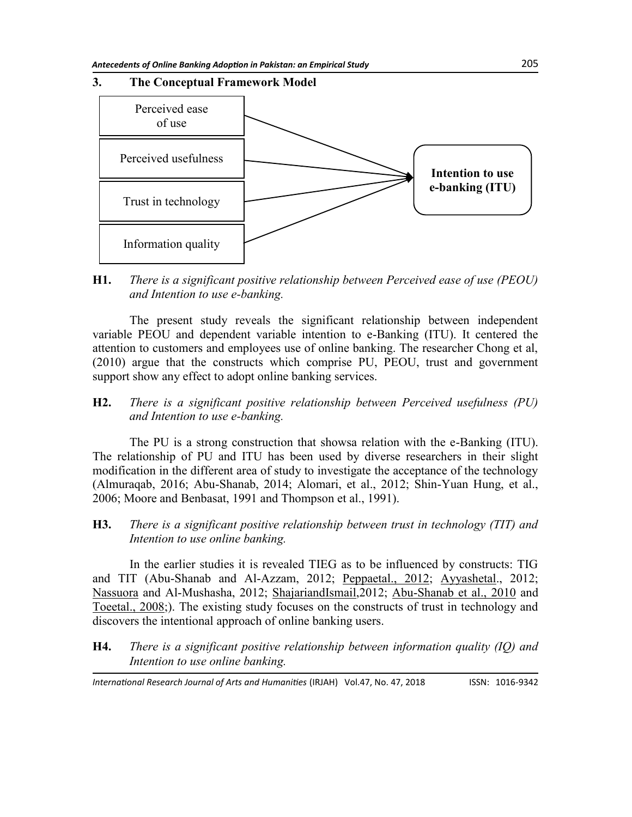## **3. The Conceptual Framework Model**



**H1.** *There is a significant positive relationship between Perceived ease of use (PEOU) and Intention to use e-banking.*

The present study reveals the significant relationship between independent variable PEOU and dependent variable intention to e-Banking (ITU). It centered the attention to customers and employees use of online banking. The researcher Chong et al, (2010) argue that the constructs which comprise PU, PEOU, trust and government support show any effect to adopt online banking services.

**H2.** *There is a significant positive relationship between Perceived usefulness (PU) and Intention to use e-banking.*

The PU is a strong construction that showsa relation with the e-Banking (ITU). The relationship of PU and ITU has been used by diverse researchers in their slight modification in the different area of study to investigate the acceptance of the technology (Almuraqab, 2016; Abu-Shanab, 2014; Alomari, et al., 2012; Shin-Yuan Hung, et al., 2006; Moore and Benbasat, 1991 and Thompson et al., 1991).

**H3.** *There is a significant positive relationship between trust in technology (TIT) and Intention to use online banking.*

In the earlier studies it is revealed TIEG as to be influenced by constructs: TIG and TIT (Abu-Shanab and Al-Azzam, 2012; Peppaetal., 2012; Ayyashetal., 2012; Nassuora and Al-Mushasha, 2012; ShajariandIsmail,2012; Abu-Shanab et al., 2010 and Toeetal., 2008;). The existing study focuses on the constructs of trust in technology and discovers the intentional approach of online banking users.

**H4.** *There is a significant positive relationship between information quality (IQ) and Intention to use online banking.*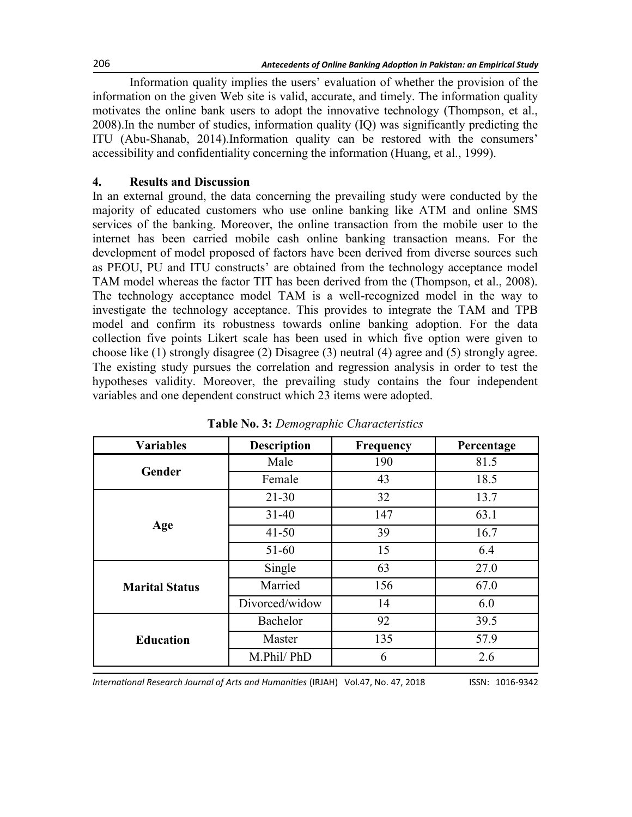Information quality implies the users' evaluation of whether the provision of the information on the given Web site is valid, accurate, and timely. The information quality motivates the online bank users to adopt the innovative technology (Thompson, et al., 2008).In the number of studies, information quality (IQ) was significantly predicting the ITU (Abu-Shanab, 2014).Information quality can be restored with the consumers' accessibility and confidentiality concerning the information (Huang, et al., 1999).

## **4. Results and Discussion**

In an external ground, the data concerning the prevailing study were conducted by the majority of educated customers who use online banking like ATM and online SMS services of the banking. Moreover, the online transaction from the mobile user to the internet has been carried mobile cash online banking transaction means. For the development of model proposed of factors have been derived from diverse sources such as PEOU, PU and ITU constructs' are obtained from the technology acceptance model TAM model whereas the factor TIT has been derived from the (Thompson, et al., 2008). The technology acceptance model TAM is a well-recognized model in the way to investigate the technology acceptance. This provides to integrate the TAM and TPB model and confirm its robustness towards online banking adoption. For the data collection five points Likert scale has been used in which five option were given to choose like (1) strongly disagree (2) Disagree (3) neutral (4) agree and (5) strongly agree. The existing study pursues the correlation and regression analysis in order to test the hypotheses validity. Moreover, the prevailing study contains the four independent variables and one dependent construct which 23 items were adopted.

| <b>Variables</b>      | <b>Description</b><br><b>Frequency</b> |     | Percentage |
|-----------------------|----------------------------------------|-----|------------|
|                       | Male                                   | 190 | 81.5       |
| Gender                | Female                                 | 43  | 18.5       |
|                       | $21 - 30$                              | 32  | 13.7       |
|                       | $31 - 40$                              | 147 | 63.1       |
| Age                   | $41 - 50$                              | 39  | 16.7       |
|                       | $51 - 60$                              | 15  | 6.4        |
|                       | Single                                 | 63  | 27.0       |
| <b>Marital Status</b> | Married                                | 156 | 67.0       |
|                       | Divorced/widow                         | 14  | 6.0        |
|                       | 92<br>Bachelor                         |     | 39.5       |
| <b>Education</b>      | Master                                 | 135 | 57.9       |
|                       | M.Phil/PhD                             | 6   | 2.6        |

**Table No. 3:** *Demographic Characteristics*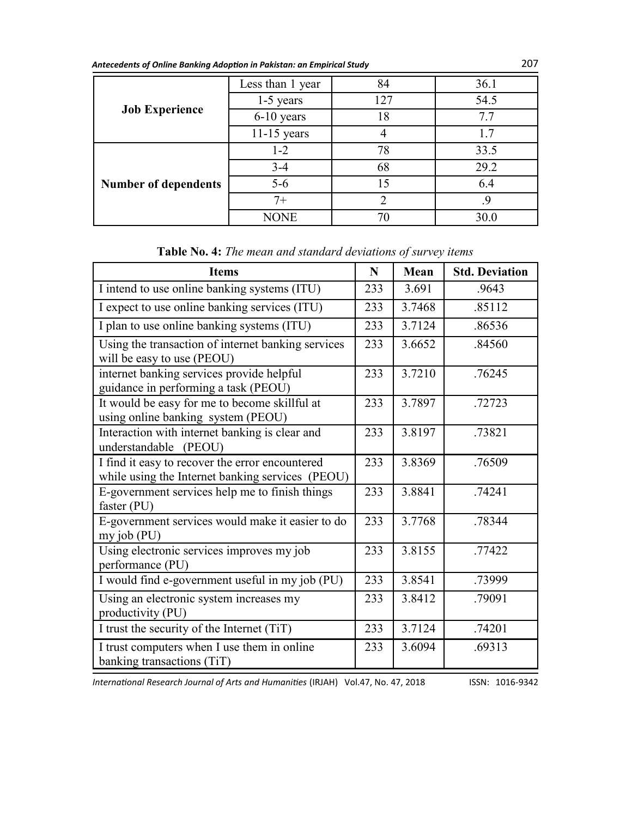| Antecedents of Online Banking Adoption in Pakistan: an Empirical Study | 207 |
|------------------------------------------------------------------------|-----|
|------------------------------------------------------------------------|-----|

|                             | Less than 1 year | 84  | 36.1 |
|-----------------------------|------------------|-----|------|
|                             | $1-5$ years      | 127 | 54.5 |
| <b>Job Experience</b>       | 6-10 years       | 18  | 7.7  |
|                             | $11-15$ years    | 4   | 1.7  |
|                             | $1 - 2$          | 78  | 33.5 |
|                             | $3-4$            | 68  | 29.2 |
| <b>Number of dependents</b> | $5-6$            | 15  | 6.4  |
|                             | $7+$             | ∍   | 9    |
|                             | NONE             | 7() | 30.0 |

| <b>Items</b>                                                                                        | N   | Mean   | <b>Std. Deviation</b> |
|-----------------------------------------------------------------------------------------------------|-----|--------|-----------------------|
| I intend to use online banking systems (ITU)                                                        | 233 | 3.691  | .9643                 |
| I expect to use online banking services (ITU)                                                       | 233 | 3.7468 | .85112                |
| I plan to use online banking systems (ITU)                                                          | 233 | 3.7124 | .86536                |
| Using the transaction of internet banking services<br>will be easy to use (PEOU)                    | 233 | 3.6652 | .84560                |
| internet banking services provide helpful<br>guidance in performing a task (PEOU)                   | 233 | 3.7210 | .76245                |
| It would be easy for me to become skillful at<br>using online banking system (PEOU)                 | 233 | 3.7897 | .72723                |
| Interaction with internet banking is clear and<br>understandable (PEOU)                             | 233 | 3.8197 | .73821                |
| I find it easy to recover the error encountered<br>while using the Internet banking services (PEOU) | 233 | 3.8369 | .76509                |
| E-government services help me to finish things<br>faster (PU)                                       | 233 | 3.8841 | .74241                |
| E-government services would make it easier to do<br>$my$ job (PU)                                   | 233 | 3.7768 | .78344                |
| Using electronic services improves my job<br>performance (PU)                                       | 233 | 3.8155 | .77422                |
| I would find e-government useful in my job (PU)                                                     | 233 | 3.8541 | .73999                |
| Using an electronic system increases my<br>productivity (PU)                                        | 233 | 3.8412 | .79091                |
| I trust the security of the Internet (TiT)                                                          | 233 | 3.7124 | .74201                |
| I trust computers when I use them in online<br>banking transactions (TiT)                           | 233 | 3.6094 | .69313                |

| Table No. 4: The mean and standard deviations of survey items |  |
|---------------------------------------------------------------|--|
|---------------------------------------------------------------|--|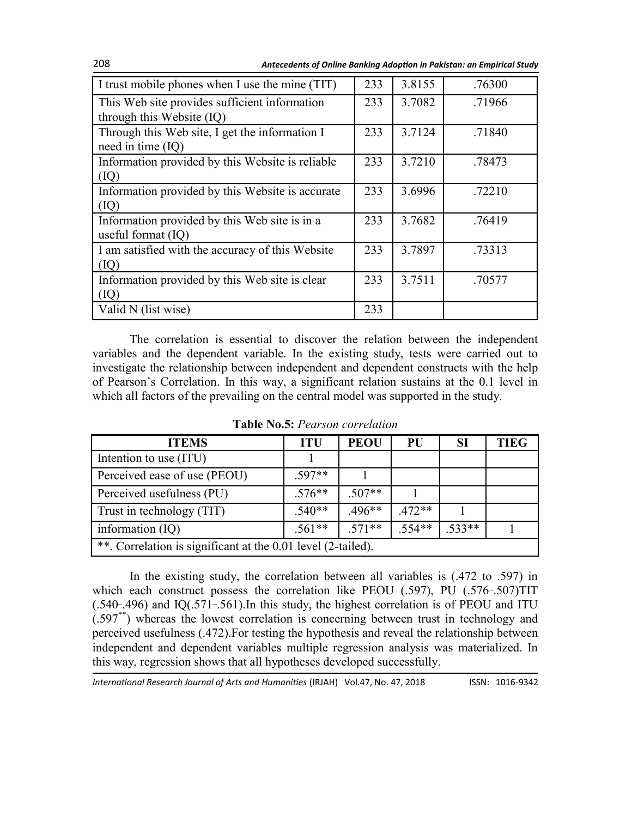208 *Antecedents of Online Banking Adoption in Pakistan: an Empirical Study*

| I trust mobile phones when I use the mine (TIT)                       | 233 | 3.8155 | .76300 |
|-----------------------------------------------------------------------|-----|--------|--------|
| This Web site provides sufficient information                         | 233 | 3.7082 | .71966 |
| through this Website (IQ)                                             |     |        |        |
| Through this Web site, I get the information I<br>need in time (IQ)   | 233 | 3.7124 | .71840 |
| Information provided by this Website is reliable<br>(IQ)              | 233 | 3.7210 | .78473 |
| Information provided by this Website is accurate<br>(IQ)              | 233 | 3.6996 | .72210 |
| Information provided by this Web site is in a<br>useful format $(IQ)$ | 233 | 3.7682 | .76419 |
| I am satisfied with the accuracy of this Website<br>(IQ)              | 233 | 3.7897 | .73313 |
| Information provided by this Web site is clear<br>(IQ)                | 233 | 3.7511 | .70577 |
| Valid N (list wise)                                                   | 233 |        |        |

The correlation is essential to discover the relation between the independent variables and the dependent variable. In the existing study, tests were carried out to investigate the relationship between independent and dependent constructs with the help of Pearson's Correlation. In this way, a significant relation sustains at the 0.1 level in which all factors of the prevailing on the central model was supported in the study.

| <b>ITEMS</b>                                                 | <b>ITU</b> | <b>PEOU</b> | PU       | SI       | <b>TIEG</b> |  |  |
|--------------------------------------------------------------|------------|-------------|----------|----------|-------------|--|--|
| Intention to use (ITU)                                       |            |             |          |          |             |  |  |
| Perceived ease of use (PEOU)                                 | 597**      |             |          |          |             |  |  |
| Perceived usefulness (PU)                                    | $.576**$   | $.507**$    |          |          |             |  |  |
| Trust in technology (TIT)                                    | $540**$    | $.496**$    | $.472**$ |          |             |  |  |
| information $(IQ)$                                           | $.561**$   | $.571**$    | $.554**$ | $.533**$ |             |  |  |
| **. Correlation is significant at the 0.01 level (2-tailed). |            |             |          |          |             |  |  |

**Table No.5:** *Pearson correlation*

In the existing study, the correlation between all variables is (.472 to .597) in which each construct possess the correlation like PEOU (.597), PU (.576-.507)TIT  $(.540-496)$  and IQ $(.571-561)$ . In this study, the highest correlation is of PEOU and ITU (.597\*\*) whereas the lowest correlation is concerning between trust in technology and perceived usefulness (.472).For testing the hypothesis and reveal the relationship between independent and dependent variables multiple regression analysis was materialized. In this way, regression shows that all hypotheses developed successfully.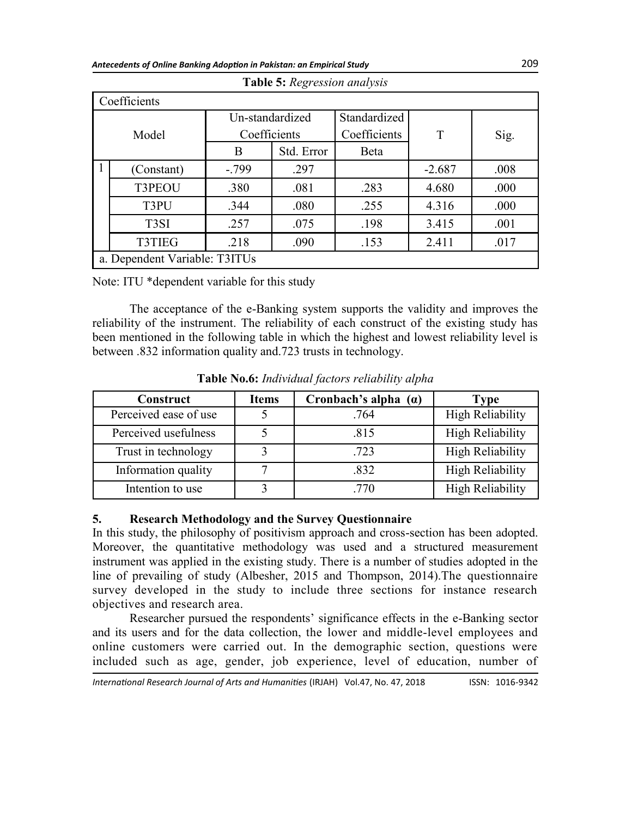| Coefficients |                               |                 |            |              |          |      |  |
|--------------|-------------------------------|-----------------|------------|--------------|----------|------|--|
|              |                               | Un-standardized |            | Standardized | T        |      |  |
|              | Model                         | Coefficients    |            | Coefficients |          | Sig. |  |
|              |                               | Β               | Std. Error | Beta         |          |      |  |
|              | (Constant)                    | $-.799$         | .297       |              | $-2.687$ | .008 |  |
|              | T3PEOU                        | .380            | .081       | .283         | 4.680    | .000 |  |
|              | T3PU                          | .344            | .080       | .255         | 4.316    | .000 |  |
|              | T <sub>3</sub> SI             | .257            | .075       | .198         | 3.415    | .001 |  |
|              | <b>T3TIEG</b>                 | .218            | .090       | .153         | 2.411    | .017 |  |
|              | a. Dependent Variable: T3ITUs |                 |            |              |          |      |  |

| Table 5: Regression analysis |  |  |  |  |  |
|------------------------------|--|--|--|--|--|
|------------------------------|--|--|--|--|--|

Note: ITU \*dependent variable for this study

The acceptance of the e-Banking system supports the validity and improves the reliability of the instrument. The reliability of each construct of the existing study has been mentioned in the following table in which the highest and lowest reliability level is between .832 information quality and.723 trusts in technology.

| <b>Construct</b>      | <b>Items</b> | Cronbach's alpha $(a)$ | <b>Type</b>      |
|-----------------------|--------------|------------------------|------------------|
| Perceived ease of use |              | .764                   | High Reliability |
| Perceived usefulness  |              | .815                   | High Reliability |
| Trust in technology   |              | .723                   | High Reliability |
| Information quality   |              | .832                   | High Reliability |
| Intention to use      |              | 770                    | High Reliability |

**Table No.6:** *Individual factors reliability alpha*

## **5. Research Methodology and the Survey Questionnaire**

In this study, the philosophy of positivism approach and cross-section has been adopted. Moreover, the quantitative methodology was used and a structured measurement instrument was applied in the existing study. There is a number of studies adopted in the line of prevailing of study (Albesher, 2015 and Thompson, 2014).The questionnaire survey developed in the study to include three sections for instance research objectives and research area.

Researcher pursued the respondents' significance effects in the e-Banking sector and its users and for the data collection, the lower and middle-level employees and online customers were carried out. In the demographic section, questions were included such as age, gender, job experience, level of education, number of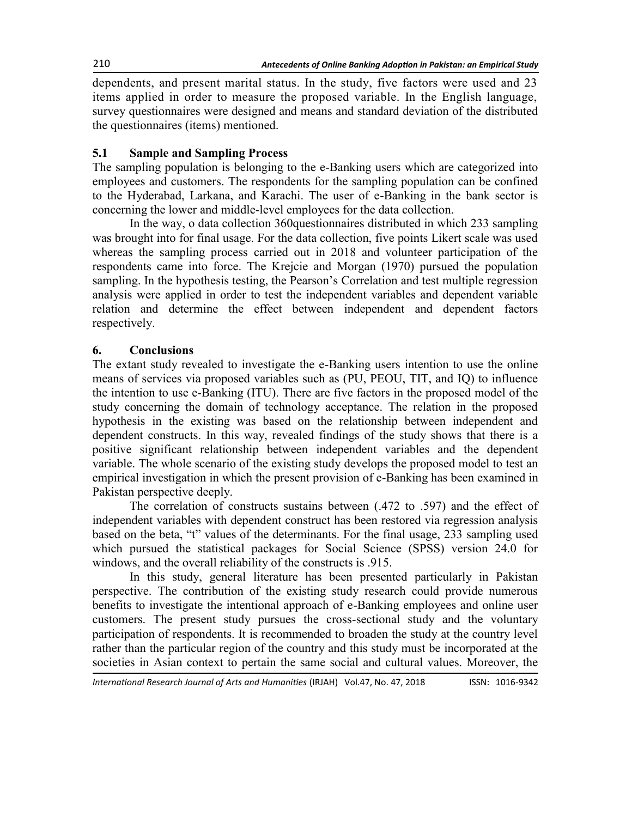dependents, and present marital status. In the study, five factors were used and 23 items applied in order to measure the proposed variable. In the English language, survey questionnaires were designed and means and standard deviation of the distributed the questionnaires (items) mentioned.

## **5.1 Sample and Sampling Process**

The sampling population is belonging to the e-Banking users which are categorized into employees and customers. The respondents for the sampling population can be confined to the Hyderabad, Larkana, and Karachi. The user of e-Banking in the bank sector is concerning the lower and middle-level employees for the data collection.

In the way, o data collection 360questionnaires distributed in which 233 sampling was brought into for final usage. For the data collection, five points Likert scale was used whereas the sampling process carried out in 2018 and volunteer participation of the respondents came into force. The Krejcie and Morgan (1970) pursued the population sampling. In the hypothesis testing, the Pearson's Correlation and test multiple regression analysis were applied in order to test the independent variables and dependent variable relation and determine the effect between independent and dependent factors respectively.

## **6. Conclusions**

The extant study revealed to investigate the e-Banking users intention to use the online means of services via proposed variables such as (PU, PEOU, TIT, and IQ) to influence the intention to use e-Banking (ITU). There are five factors in the proposed model of the study concerning the domain of technology acceptance. The relation in the proposed hypothesis in the existing was based on the relationship between independent and dependent constructs. In this way, revealed findings of the study shows that there is a positive significant relationship between independent variables and the dependent variable. The whole scenario of the existing study develops the proposed model to test an empirical investigation in which the present provision of e-Banking has been examined in Pakistan perspective deeply.

The correlation of constructs sustains between (.472 to .597) and the effect of independent variables with dependent construct has been restored via regression analysis based on the beta, "t" values of the determinants. For the final usage, 233 sampling used which pursued the statistical packages for Social Science (SPSS) version 24.0 for windows, and the overall reliability of the constructs is .915.

In this study, general literature has been presented particularly in Pakistan perspective. The contribution of the existing study research could provide numerous benefits to investigate the intentional approach of e-Banking employees and online user customers. The present study pursues the cross-sectional study and the voluntary participation of respondents. It is recommended to broaden the study at the country level rather than the particular region of the country and this study must be incorporated at the societies in Asian context to pertain the same social and cultural values. Moreover, the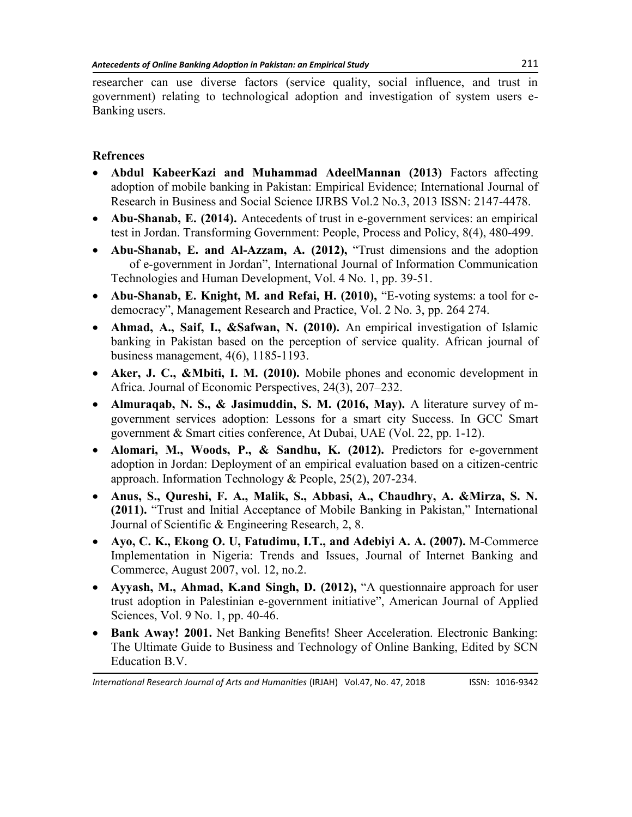researcher can use diverse factors (service quality, social influence, and trust in government) relating to technological adoption and investigation of system users e-Banking users.

# **Refrences**

- **Abdul KabeerKazi and Muhammad AdeelMannan (2013)** Factors affecting adoption of mobile banking in Pakistan: Empirical Evidence; International Journal of Research in Business and Social Science IJRBS Vol.2 No.3, 2013 ISSN: 2147-4478.
- **Abu-Shanab, E. (2014).** Antecedents of trust in e-government services: an empirical test in Jordan. Transforming Government: People, Process and Policy, 8(4), 480-499.
- Abu-Shanab, E. and Al-Azzam, A. (2012), "Trust dimensions and the adoption of e-government in Jordan", International Journal of Information Communication Technologies and Human Development, Vol. 4 No. 1, pp. 39-51.
- Abu-Shanab, E. Knight, M. and Refai, H. (2010), "E-voting systems: a tool for edemocracy", Management Research and Practice, Vol. 2 No. 3, pp. 264 274.
- **Ahmad, A., Saif, I., &Safwan, N. (2010).** An empirical investigation of Islamic banking in Pakistan based on the perception of service quality. African journal of business management, 4(6), 1185-1193.
- **Aker, J. C., &Mbiti, I. M. (2010).** Mobile phones and economic development in Africa. Journal of Economic Perspectives, 24(3), 207–232.
- **Almuraqab, N. S., & Jasimuddin, S. M. (2016, May).** A literature survey of mgovernment services adoption: Lessons for a smart city Success. In GCC Smart government & Smart cities conference, At Dubai, UAE (Vol. 22, pp. 1-12).
- **Alomari, M., Woods, P., & Sandhu, K. (2012).** Predictors for e-government adoption in Jordan: Deployment of an empirical evaluation based on a citizen-centric approach. Information Technology & People, 25(2), 207-234.
- **Anus, S., Qureshi, F. A., Malik, S., Abbasi, A., Chaudhry, A. &Mirza, S. N. (2011).** "Trust and Initial Acceptance of Mobile Banking in Pakistan," International Journal of Scientific & Engineering Research, 2, 8.
- **Ayo, C. K., Ekong O. U, Fatudimu, I.T., and Adebiyi A. A. (2007).** M-Commerce Implementation in Nigeria: Trends and Issues, Journal of Internet Banking and Commerce, August 2007, vol. 12, no.2.
- Ayyash, M., Ahmad, K.and Singh, D. (2012), "A questionnaire approach for user trust adoption in Palestinian e-government initiative", American Journal of Applied Sciences, Vol. 9 No. 1, pp. 40-46.
- **Bank Away! 2001.** Net Banking Benefits! Sheer Acceleration. Electronic Banking: The Ultimate Guide to Business and Technology of Online Banking, Edited by SCN Education B.V.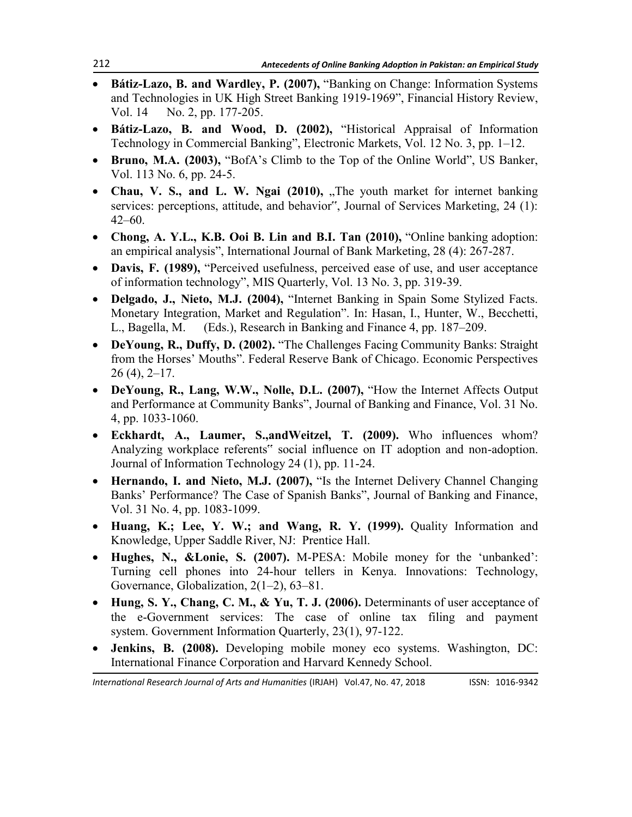- **Bátiz-Lazo, B. and Wardley, P. (2007), "Banking on Change: Information Systems** and Technologies in UK High Street Banking 1919-1969", Financial History Review, Vol. 14 No. 2, pp. 177-205.
- Bátiz-Lazo, B. and Wood, D. (2002), "Historical Appraisal of Information Technology in Commercial Banking", Electronic Markets, Vol. 12 No. 3, pp. 1–12.
- Bruno, M.A. (2003), "BofA's Climb to the Top of the Online World", US Banker, Vol. 113 No. 6, pp. 24-5.
- Chau, V. S., and L. W. Ngai (2010), "The youth market for internet banking services: perceptions, attitude, and behavior", Journal of Services Marketing, 24 (1): 42–60.
- Chong, A. Y.L., K.B. Ooi B. Lin and B.I. Tan (2010), "Online banking adoption: an empirical analysis", International Journal of Bank Marketing, 28 (4): 267-287.
- Davis, F. (1989), "Perceived usefulness, perceived ease of use, and user acceptance of information technology", MIS Quarterly, Vol. 13 No. 3, pp. 319-39.
- Delgado, J., Nieto, M.J. (2004), "Internet Banking in Spain Some Stylized Facts. Monetary Integration, Market and Regulation". In: Hasan, I., Hunter, W., Becchetti, L., Bagella, M. (Eds.), Research in Banking and Finance 4, pp. 187–209.
- DeYoung, R., Duffy, D. (2002). "The Challenges Facing Community Banks: Straight from the Horses' Mouths". Federal Reserve Bank of Chicago. Economic Perspectives  $26(4)$ ,  $2-17$ .
- DeYoung, R., Lang, W.W., Nolle, D.L. (2007), "How the Internet Affects Output and Performance at Community Banks", Journal of Banking and Finance, Vol. 31 No. 4, pp. 1033-1060.
- **Eckhardt, A., Laumer, S.,andWeitzel, T. (2009).** Who influences whom? Analyzing workplace referents" social influence on IT adoption and non-adoption. Journal of Information Technology 24 (1), pp. 11-24.
- Hernando, I. and Nieto, M.J. (2007), "Is the Internet Delivery Channel Changing Banks' Performance? The Case of Spanish Banks", Journal of Banking and Finance, Vol. 31 No. 4, pp. 1083-1099.
- **Huang, K.; Lee, Y. W.; and Wang, R. Y. (1999).** Quality Information and Knowledge, Upper Saddle River, NJ: Prentice Hall.
- Hughes, N., &Lonie, S. (2007). M-PESA: Mobile money for the 'unbanked': Turning cell phones into 24-hour tellers in Kenya. Innovations: Technology, Governance, Globalization, 2(1–2), 63–81.
- **Hung, S. Y., Chang, C. M., & Yu, T. J. (2006).** Determinants of user acceptance of the e-Government services: The case of online tax filing and payment system. Government Information Quarterly, 23(1), 97-122.
- **Jenkins, B. (2008).** Developing mobile money eco systems. Washington, DC: International Finance Corporation and Harvard Kennedy School.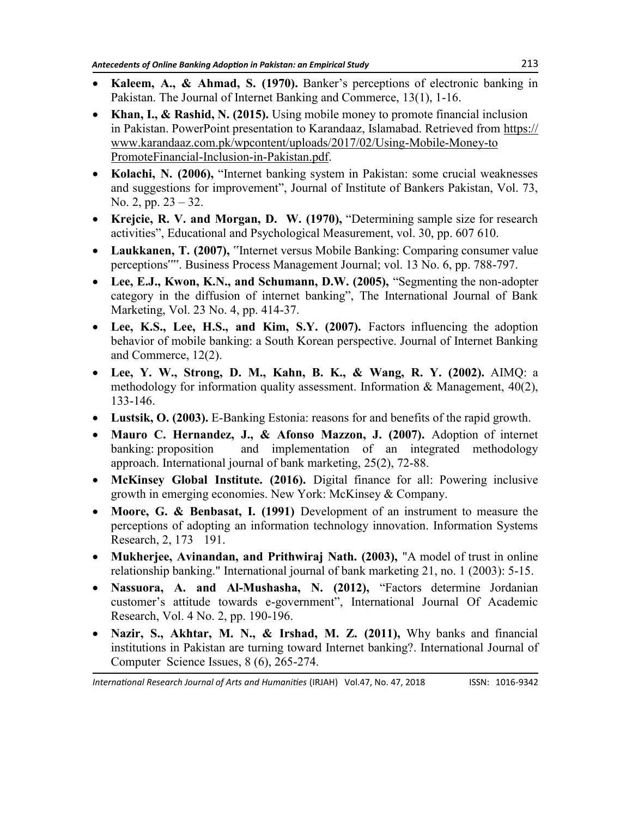- **Kaleem, A., & Ahmad, S. (1970).** Banker's perceptions of electronic banking in Pakistan. The Journal of Internet Banking and Commerce, 13(1), 1-16.
- **Khan, I., & Rashid, N. (2015).** Using mobile money to promote financial inclusion in Pakistan. PowerPoint presentation to Karandaaz, Islamabad. Retrieved from [https://](https://www.karandaaz.com.pk/wpcontent/uploads/2017/02/Using-Mobile-Money-to%20PromoteFinancial-Inclusion-in-Pakistan.pdf) [www.karandaaz.com.pk/wpcontent/uploads/2017/02/Using](https://www.karandaaz.com.pk/wpcontent/uploads/2017/02/Using-Mobile-Money-to%20PromoteFinancial-Inclusion-in-Pakistan.pdf)-Mobile-Money-to [PromoteFinancial](https://www.karandaaz.com.pk/wpcontent/uploads/2017/02/Using-Mobile-Money-to%20PromoteFinancial-Inclusion-in-Pakistan.pdf)-Inclusion-in-Pakistan.pdf.
- Kolachi, N. (2006), "Internet banking system in Pakistan: some crucial weaknesses and suggestions for improvement", Journal of Institute of Bankers Pakistan, Vol. 73, No. 2, pp. 23 – 32.
- Krejcie, R. V. and Morgan, D. W. (1970), "Determining sample size for research activities", Educational and Psychological Measurement, vol. 30, pp. 607 610.
- **Laukkanen, T. (2007),** "Internet versus Mobile Banking: Comparing consumer value perceptions"". Business Process Management Journal; vol. 13 No. 6, pp. 788-797.
- Lee, E.J., Kwon, K.N., and Schumann, D.W. (2005), "Segmenting the non-adopter category in the diffusion of internet banking", The International Journal of Bank Marketing, Vol. 23 No. 4, pp. 414-37.
- **Lee, K.S., Lee, H.S., and Kim, S.Y. (2007).** Factors influencing the adoption behavior of mobile banking: a South Korean perspective. Journal of Internet Banking and Commerce, 12(2).
- **Lee, Y. W., Strong, D. M., Kahn, B. K., & Wang, R. Y. (2002).** AIMQ: a methodology for information quality assessment. Information & Management, 40(2), 133-146.
- **Lustsik, O. (2003).** E-Banking Estonia: reasons for and benefits of the rapid growth.
- **Mauro C. Hernandez, J., & Afonso Mazzon, J. (2007).** Adoption of internet banking: proposition and implementation of an integrated methodology approach. International journal of bank marketing, 25(2), 72-88.
- **McKinsey Global Institute. (2016).** Digital finance for all: Powering inclusive growth in emerging economies. New York: McKinsey & Company.
- **Moore, G. & Benbasat, I. (1991)** Development of an instrument to measure the perceptions of adopting an information technology innovation. Information Systems Research, 2, 173 191.
- **Mukherjee, Avinandan, and Prithwiraj Nath. (2003),** "A model of trust in online relationship banking." International journal of bank marketing 21, no. 1 (2003): 5-15.
- Nassuora, A. and Al-Mushasha, N. (2012), "Factors determine Jordanian customer's attitude towards e-government", International Journal Of Academic Research, Vol. 4 No. 2, pp. 190-196.
- **Nazir, S., Akhtar, M. N., & Irshad, M. Z. (2011),** Why banks and financial institutions in Pakistan are turning toward Internet banking?. International Journal of Computer Science Issues, 8 (6), 265-274.